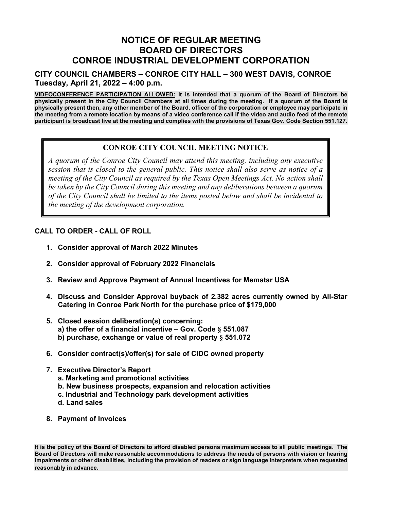# **NOTICE OF REGULAR MEETING BOARD OF DIRECTORS CONROE INDUSTRIAL DEVELOPMENT CORPORATION**

### **CITY COUNCIL CHAMBERS – CONROE CITY HALL – 300 WEST DAVIS, CONROE Tuesday, April 21, 2022 – 4:00 p.m.**

**VIDEOCONFERENCE PARTICIPATION ALLOWED: It is intended that a quorum of the Board of Directors be physically present in the City Council Chambers at all times during the meeting. If a quorum of the Board is physically present then, any other member of the Board, officer of the corporation or employee may participate in the meeting from a remote location by means of a video conference call if the video and audio feed of the remote participant is broadcast live at the meeting and complies with the provisions of Texas Gov. Code Section 551.127.** 

## **CONROE CITY COUNCIL MEETING NOTICE**

*AGENDA AGENDA agency council as required by the Texas Open Meetings ACt. No action shall be taken by the City Council during this meeting and any deliberations between a quorum A quorum of the Conroe City Council may attend this meeting, including any executive session that is closed to the general public. This notice shall also serve as notice of a meeting of the City Council as required by the Texas Open Meetings Act. No action shall of the City Council shall be limited to the items posted below and shall be incidental to the meeting of the development corporation.* 

#### **CALL TO ORDER - CALL OF ROLL**

- **1. Consider approval of March 2022 Minutes**
- **2. Consider approval of February 2022 Financials**
- **3. Review and Approve Payment of Annual Incentives for Memstar USA**
- **4. Discuss and Consider Approval buyback of 2.382 acres currently owned by All-Star Catering in Conroe Park North for the purchase price of \$179,000**
- **5. Closed session deliberation(s) concerning:**
	- **a) the offer of a financial incentive – Gov. Code § 551.087**
	- **b) purchase, exchange or value of real property § 551.072**
- **6. Consider contract(s)/offer(s) for sale of CIDC owned property**
- **7. Executive Director's Report**
	- **a. Marketing and promotional activities**
	- **b. New business prospects, expansion and relocation activities**
	- **c. Industrial and Technology park development activities**
	- **d. Land sales**
- **8. Payment of Invoices**

**It is the policy of the Board of Directors to afford disabled persons maximum access to all public meetings. The Board of Directors will make reasonable accommodations to address the needs of persons with vision or hearing impairments or other disabilities, including the provision of readers or sign language interpreters when requested reasonably in advance.**